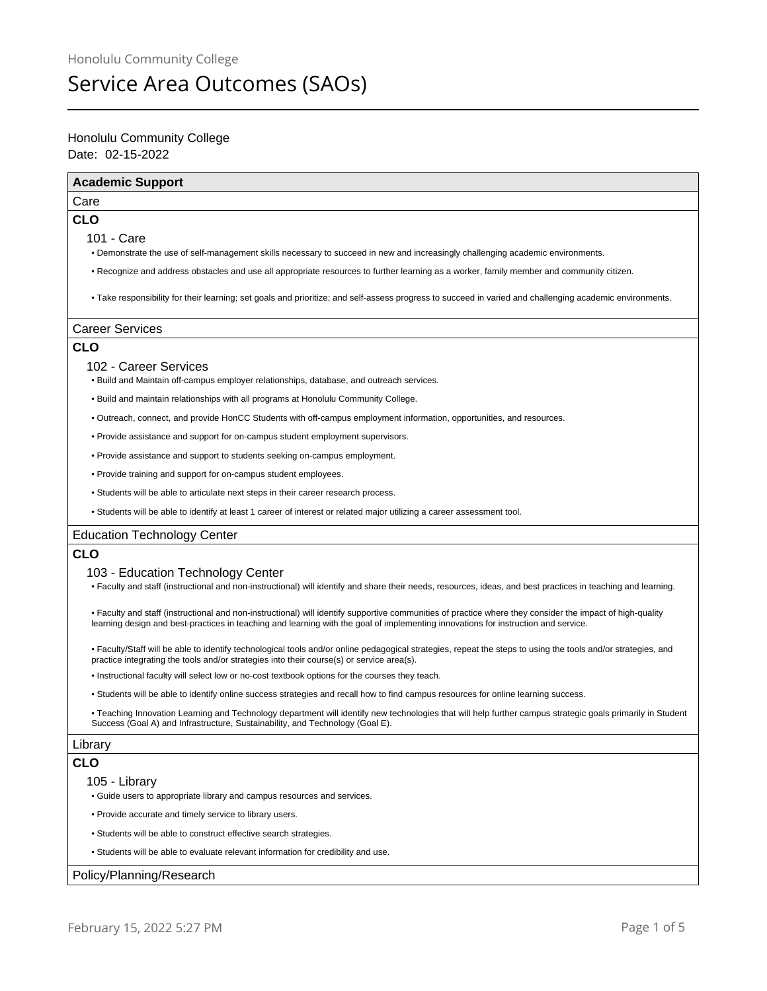# Service Area Outcomes (SAOs)

# Date: 02-15-2022 Honolulu Community College

| <b>Academic Support</b>                                                                                                                                                                                                                                                                         |
|-------------------------------------------------------------------------------------------------------------------------------------------------------------------------------------------------------------------------------------------------------------------------------------------------|
| Care                                                                                                                                                                                                                                                                                            |
| <b>CLO</b>                                                                                                                                                                                                                                                                                      |
| 101 - Care                                                                                                                                                                                                                                                                                      |
| . Demonstrate the use of self-management skills necessary to succeed in new and increasingly challenging academic environments.                                                                                                                                                                 |
| • Recognize and address obstacles and use all appropriate resources to further learning as a worker, family member and community citizen.                                                                                                                                                       |
| • Take responsibility for their learning; set goals and prioritize; and self-assess progress to succeed in varied and challenging academic environments.                                                                                                                                        |
| <b>Career Services</b>                                                                                                                                                                                                                                                                          |
| <b>CLO</b>                                                                                                                                                                                                                                                                                      |
| 102 - Career Services<br>. Build and Maintain off-campus employer relationships, database, and outreach services.                                                                                                                                                                               |
| . Build and maintain relationships with all programs at Honolulu Community College.                                                                                                                                                                                                             |
| . Outreach, connect, and provide HonCC Students with off-campus employment information, opportunities, and resources.                                                                                                                                                                           |
| • Provide assistance and support for on-campus student employment supervisors.                                                                                                                                                                                                                  |
| • Provide assistance and support to students seeking on-campus employment.                                                                                                                                                                                                                      |
| • Provide training and support for on-campus student employees.                                                                                                                                                                                                                                 |
| • Students will be able to articulate next steps in their career research process.                                                                                                                                                                                                              |
| • Students will be able to identify at least 1 career of interest or related major utilizing a career assessment tool.                                                                                                                                                                          |
| <b>Education Technology Center</b>                                                                                                                                                                                                                                                              |
| <b>CLO</b>                                                                                                                                                                                                                                                                                      |
| 103 - Education Technology Center<br>. Faculty and staff (instructional and non-instructional) will identify and share their needs, resources, ideas, and best practices in teaching and learning.                                                                                              |
| • Faculty and staff (instructional and non-instructional) will identify supportive communities of practice where they consider the impact of high-quality<br>learning design and best-practices in teaching and learning with the goal of implementing innovations for instruction and service. |
| • Faculty/Staff will be able to identify technological tools and/or online pedagogical strategies, repeat the steps to using the tools and/or strategies, and<br>practice integrating the tools and/or strategies into their course(s) or service area(s).                                      |
| • Instructional faculty will select low or no-cost textbook options for the courses they teach.                                                                                                                                                                                                 |
| . Students will be able to identify online success strategies and recall how to find campus resources for online learning success.                                                                                                                                                              |
| • Teaching Innovation Learning and Technology department will identify new technologies that will help further campus strategic goals primarily in Student<br>Success (Goal A) and Infrastructure, Sustainability, and Technology (Goal E).                                                     |
| Library                                                                                                                                                                                                                                                                                         |
| <b>CLO</b>                                                                                                                                                                                                                                                                                      |
| 105 - Library                                                                                                                                                                                                                                                                                   |
| • Guide users to appropriate library and campus resources and services.                                                                                                                                                                                                                         |
| • Provide accurate and timely service to library users.                                                                                                                                                                                                                                         |
| • Students will be able to construct effective search strategies.                                                                                                                                                                                                                               |
| . Students will be able to evaluate relevant information for credibility and use.                                                                                                                                                                                                               |
| Policy/Planning/Research                                                                                                                                                                                                                                                                        |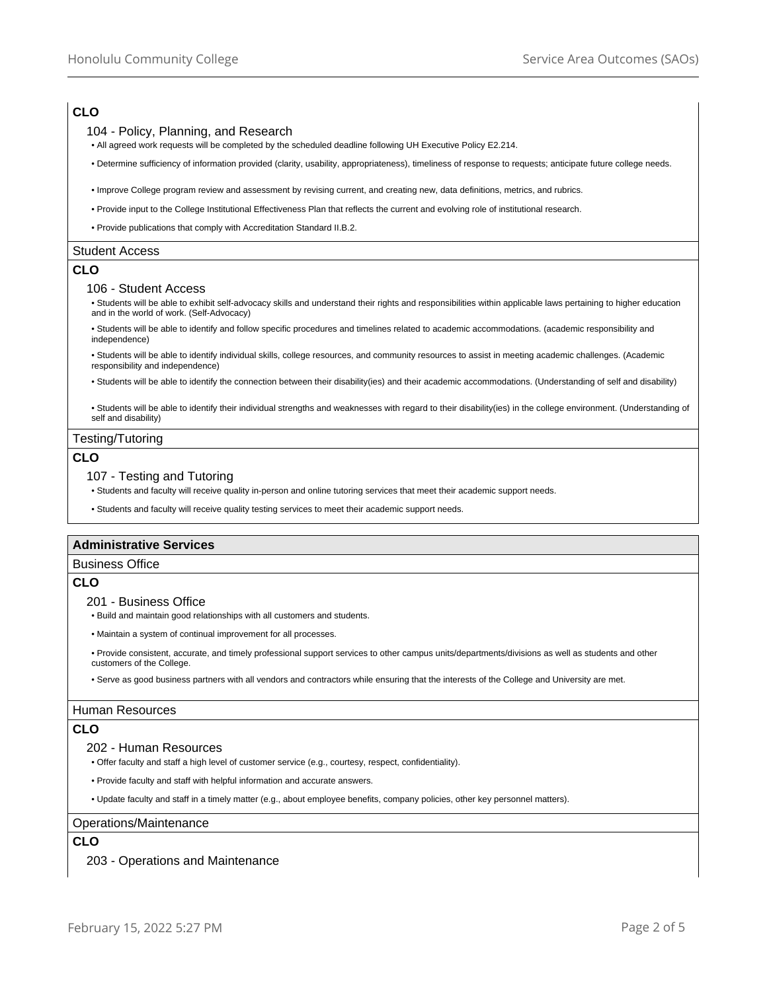# **CLO**

## 104 - Policy, Planning, and Research

- All agreed work requests will be completed by the scheduled deadline following UH Executive Policy E2.214.
- Determine sufficiency of information provided (clarity, usability, appropriateness), timeliness of response to requests; anticipate future college needs.
- Improve College program review and assessment by revising current, and creating new, data definitions, metrics, and rubrics.
- Provide input to the College Institutional Effectiveness Plan that reflects the current and evolving role of institutional research.
- Provide publications that comply with Accreditation Standard II.B.2.

#### Student Access

## **CLO**

#### 106 - Student Access

• Students will be able to exhibit self-advocacy skills and understand their rights and responsibilities within applicable laws pertaining to higher education and in the world of work. (Self-Advocacy)

• Students will be able to identify and follow specific procedures and timelines related to academic accommodations. (academic responsibility and independence)

• Students will be able to identify individual skills, college resources, and community resources to assist in meeting academic challenges. (Academic responsibility and independence)

• Students will be able to identify the connection between their disability(ies) and their academic accommodations. (Understanding of self and disability)

• Students will be able to identify their individual strengths and weaknesses with regard to their disability(ies) in the college environment. (Understanding of self and disability)

#### Testing/Tutoring

## **CLO**

#### 107 - Testing and Tutoring

• Students and faculty will receive quality in-person and online tutoring services that meet their academic support needs.

• Students and faculty will receive quality testing services to meet their academic support needs.

#### **Administrative Services**

### Business Office

#### **CLO**

#### 201 - Business Office

• Build and maintain good relationships with all customers and students.

• Maintain a system of continual improvement for all processes.

• Provide consistent, accurate, and timely professional support services to other campus units/departments/divisions as well as students and other customers of the College.

• Serve as good business partners with all vendors and contractors while ensuring that the interests of the College and University are met.

#### Human Resources

## **CLO**

#### 202 - Human Resources

• Offer faculty and staff a high level of customer service (e.g., courtesy, respect, confidentiality).

• Provide faculty and staff with helpful information and accurate answers.

• Update faculty and staff in a timely matter (e.g., about employee benefits, company policies, other key personnel matters).

#### Operations/Maintenance

#### **CLO**

203 - Operations and Maintenance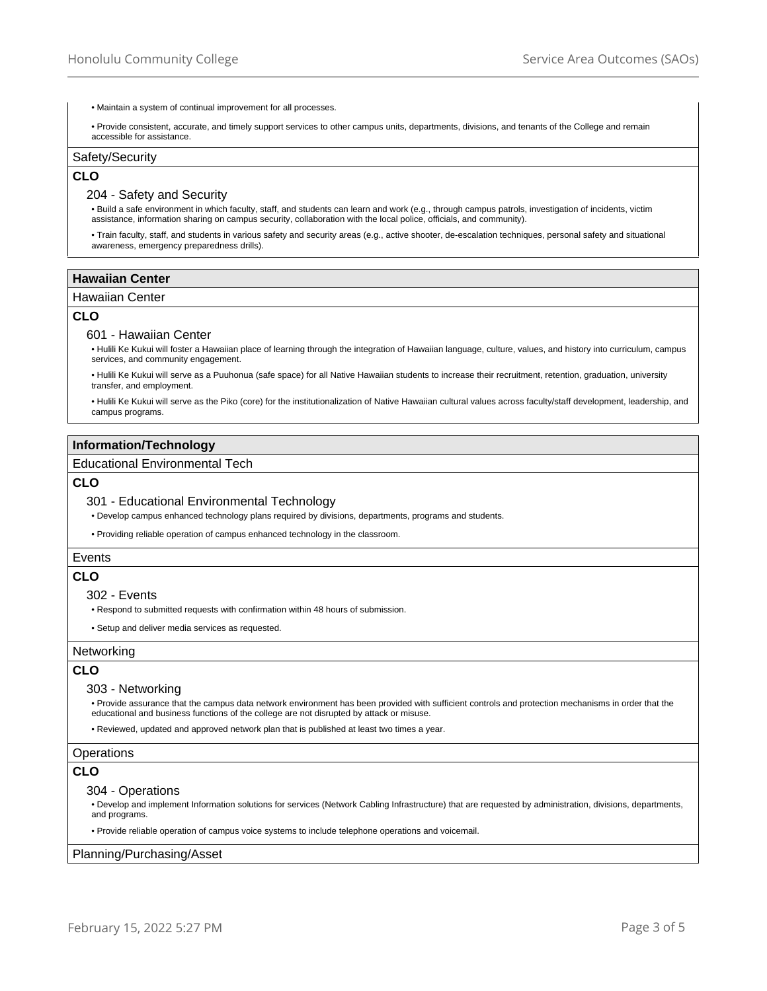- Maintain a system of continual improvement for all processes.
- Provide consistent, accurate, and timely support services to other campus units, departments, divisions, and tenants of the College and remain accessible for assistance.

## Safety/Security

## **CLO**

#### 204 - Safety and Security

• Build a safe environment in which faculty, staff, and students can learn and work (e.g., through campus patrols, investigation of incidents, victim assistance, information sharing on campus security, collaboration with the local police, officials, and community).

• Train faculty, staff, and students in various safety and security areas (e.g., active shooter, de-escalation techniques, personal safety and situational awareness, emergency preparedness drills).

## **Hawaiian Center**

## Hawaiian Center

## **CLO**

#### 601 - Hawaiian Center

• Hulili Ke Kukui will foster a Hawaiian place of learning through the integration of Hawaiian language, culture, values, and history into curriculum, campus services, and community engagement.

• Hulili Ke Kukui will serve as a Puuhonua (safe space) for all Native Hawaiian students to increase their recruitment, retention, graduation, university transfer, and employment.

• Hulili Ke Kukui will serve as the Piko (core) for the institutionalization of Native Hawaiian cultural values across faculty/staff development, leadership, and campus programs.

## **Information/Technology**

## Educational Environmental Tech

## **CLO**

#### 301 - Educational Environmental Technology

• Develop campus enhanced technology plans required by divisions, departments, programs and students.

• Providing reliable operation of campus enhanced technology in the classroom.

#### Events

## **CLO**

#### 302 - Events

• Respond to submitted requests with confirmation within 48 hours of submission.

• Setup and deliver media services as requested.

## Networking

## **CLO**

#### 303 - Networking

• Provide assurance that the campus data network environment has been provided with sufficient controls and protection mechanisms in order that the educational and business functions of the college are not disrupted by attack or misuse.

• Reviewed, updated and approved network plan that is published at least two times a year.

#### **Operations**

## **CLO**

## 304 - Operations

• Develop and implement Information solutions for services (Network Cabling Infrastructure) that are requested by administration, divisions, departments, and programs.

• Provide reliable operation of campus voice systems to include telephone operations and voicemail.

#### Planning/Purchasing/Asset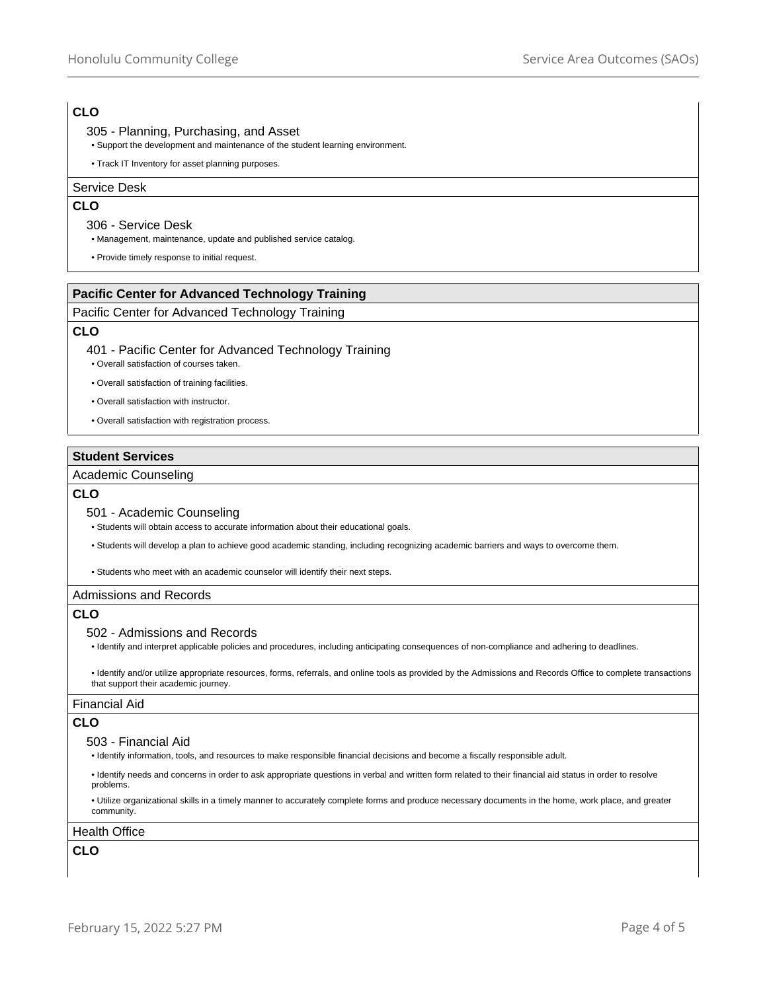# **CLO**

## 305 - Planning, Purchasing, and Asset

- Support the development and maintenance of the student learning environment.
- Track IT Inventory for asset planning purposes.

## Service Desk

## **CLO**

#### 306 - Service Desk

• Management, maintenance, update and published service catalog.

• Provide timely response to initial request.

## **Pacific Center for Advanced Technology Training**

## Pacific Center for Advanced Technology Training

## **CLO**

401 - Pacific Center for Advanced Technology Training

• Overall satisfaction of courses taken.

• Overall satisfaction of training facilities.

- Overall satisfaction with instructor.
- Overall satisfaction with registration process.

## **Student Services**

## Academic Counseling

## **CLO**

#### 501 - Academic Counseling

• Students will obtain access to accurate information about their educational goals.

• Students will develop a plan to achieve good academic standing, including recognizing academic barriers and ways to overcome them.

• Students who meet with an academic counselor will identify their next steps.

## Admissions and Records

## **CLO**

## 502 - Admissions and Records

• Identify and interpret applicable policies and procedures, including anticipating consequences of non-compliance and adhering to deadlines.

• Identify and/or utilize appropriate resources, forms, referrals, and online tools as provided by the Admissions and Records Office to complete transactions that support their academic journey.

### Financial Aid

# **CLO**

#### 503 - Financial Aid

• Identify information, tools, and resources to make responsible financial decisions and become a fiscally responsible adult.

• Identify needs and concerns in order to ask appropriate questions in verbal and written form related to their financial aid status in order to resolve problems.

• Utilize organizational skills in a timely manner to accurately complete forms and produce necessary documents in the home, work place, and greater community.

## Health Office

# **CLO**